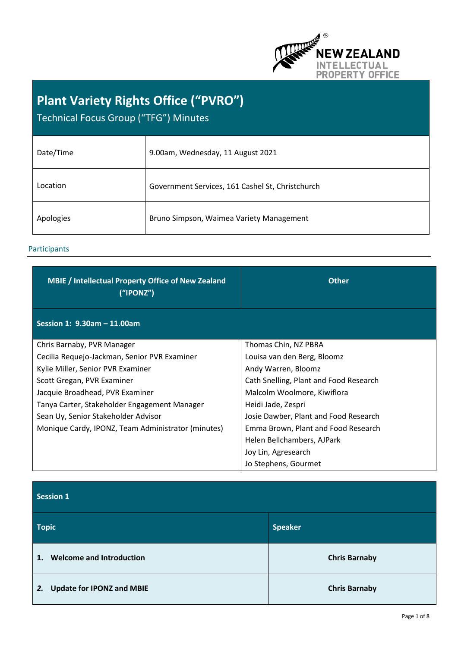

# **Plant Variety Rights Office ("PVRO")**  Technical Focus Group ("TFG") Minutes

| Date/Time | 9.00am, Wednesday, 11 August 2021                |
|-----------|--------------------------------------------------|
| Location  | Government Services, 161 Cashel St, Christchurch |
| Apologies | Bruno Simpson, Waimea Variety Management         |

# Participants

| <b>MBIE</b> / Intellectual Property Office of New Zealand<br>(''IPONZ") | <b>Other</b>                           |
|-------------------------------------------------------------------------|----------------------------------------|
| Session 1: 9.30am - 11.00am                                             |                                        |
| Chris Barnaby, PVR Manager                                              | Thomas Chin, NZ PBRA                   |
| Cecilia Requejo-Jackman, Senior PVR Examiner                            | Louisa van den Berg, Bloomz            |
| Kylie Miller, Senior PVR Examiner                                       | Andy Warren, Bloomz                    |
| Scott Gregan, PVR Examiner                                              | Cath Snelling, Plant and Food Research |
| Jacquie Broadhead, PVR Examiner                                         | Malcolm Woolmore, Kiwiflora            |
| Tanya Carter, Stakeholder Engagement Manager                            | Heidi Jade, Zespri                     |
| Sean Uy, Senior Stakeholder Advisor                                     | Josie Dawber, Plant and Food Research  |
| Monique Cardy, IPONZ, Team Administrator (minutes)                      | Emma Brown, Plant and Food Research    |
|                                                                         | Helen Bellchambers, AJPark             |
|                                                                         | Joy Lin, Agresearch                    |
|                                                                         | Jo Stephens, Gourmet                   |

**Session 1** 

| <b>Topic</b>                           | <b>Speaker</b>       |
|----------------------------------------|----------------------|
| <b>Welcome and Introduction</b><br>1.  | <b>Chris Barnaby</b> |
| <b>Update for IPONZ and MBIE</b><br>2. | <b>Chris Barnaby</b> |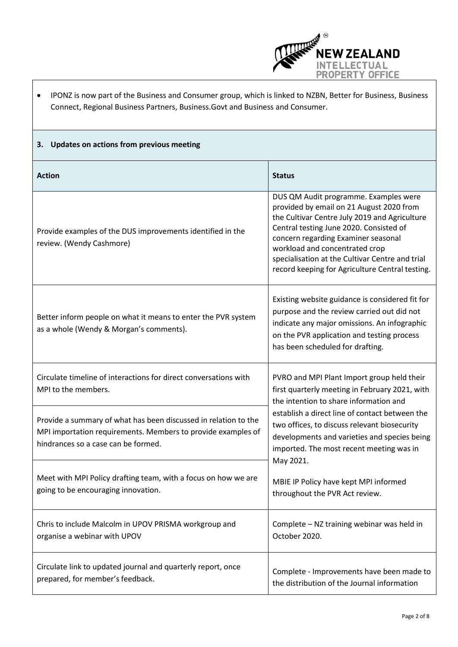

| IPONZ is now part of the Business and Consumer group, which is linked to NZBN, Better for Business, Business |
|--------------------------------------------------------------------------------------------------------------|
| Connect, Regional Business Partners, Business. Govt and Business and Consumer.                               |

# **3. Updates on actions from previous meeting**

| <b>Action</b>                                                                                                                                                          | <b>Status</b>                                                                                                                                                                                                                                                                                                                                                |
|------------------------------------------------------------------------------------------------------------------------------------------------------------------------|--------------------------------------------------------------------------------------------------------------------------------------------------------------------------------------------------------------------------------------------------------------------------------------------------------------------------------------------------------------|
| Provide examples of the DUS improvements identified in the<br>review. (Wendy Cashmore)                                                                                 | DUS QM Audit programme. Examples were<br>provided by email on 21 August 2020 from<br>the Cultivar Centre July 2019 and Agriculture<br>Central testing June 2020. Consisted of<br>concern regarding Examiner seasonal<br>workload and concentrated crop<br>specialisation at the Cultivar Centre and trial<br>record keeping for Agriculture Central testing. |
| Better inform people on what it means to enter the PVR system<br>as a whole (Wendy & Morgan's comments).                                                               | Existing website guidance is considered fit for<br>purpose and the review carried out did not<br>indicate any major omissions. An infographic<br>on the PVR application and testing process<br>has been scheduled for drafting.                                                                                                                              |
| Circulate timeline of interactions for direct conversations with<br>MPI to the members.                                                                                | PVRO and MPI Plant Import group held their<br>first quarterly meeting in February 2021, with<br>the intention to share information and<br>establish a direct line of contact between the<br>two offices, to discuss relevant biosecurity<br>developments and varieties and species being<br>imported. The most recent meeting was in<br>May 2021.            |
| Provide a summary of what has been discussed in relation to the<br>MPI importation requirements. Members to provide examples of<br>hindrances so a case can be formed. |                                                                                                                                                                                                                                                                                                                                                              |
| Meet with MPI Policy drafting team, with a focus on how we are<br>going to be encouraging innovation.                                                                  | MBIE IP Policy have kept MPI informed<br>throughout the PVR Act review.                                                                                                                                                                                                                                                                                      |
| Chris to include Malcolm in UPOV PRISMA workgroup and<br>organise a webinar with UPOV                                                                                  | Complete - NZ training webinar was held in<br>October 2020.                                                                                                                                                                                                                                                                                                  |
| Circulate link to updated journal and quarterly report, once<br>prepared, for member's feedback.                                                                       | Complete - Improvements have been made to<br>the distribution of the Journal information                                                                                                                                                                                                                                                                     |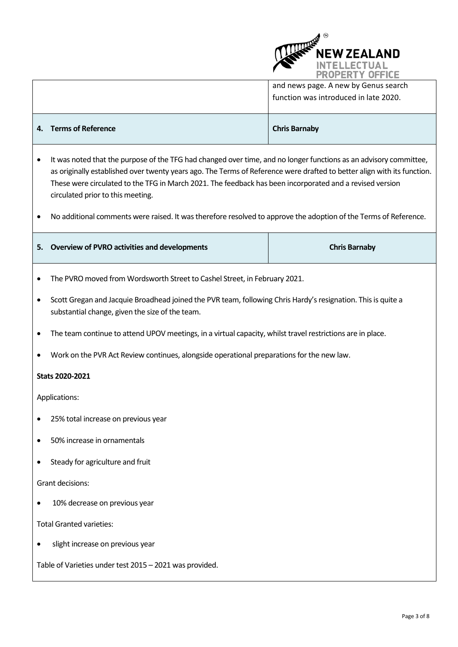

and news page. A new by Genus search function was introduced in late 2020.

#### **4. Terms of Reference** Chris Barnaby **Chris Barnaby Chris Barnaby**

- It was noted that the purpose of the TFG had changed over time, and no longer functions as an advisory committee, as originally established over twenty years ago. The Terms of Reference were drafted to better align with its function. These were circulated to the TFG in March 2021. The feedback has been incorporated and a revised version circulated prior to this meeting.
- No additional comments were raised. It was therefore resolved to approve the adoption of the Terms of Reference.

|  | 5. Overview of PVRO activities and developments | <b>Chris Barnaby</b> |
|--|-------------------------------------------------|----------------------|
|--|-------------------------------------------------|----------------------|

- The PVRO moved from Wordsworth Street to Cashel Street, in February 2021.
- Scott Gregan and Jacquie Broadhead joined the PVR team, following Chris Hardy's resignation. This is quite a substantial change, given the size of the team.
- The team continue to attend UPOV meetings, in a virtual capacity, whilst travel restrictions are in place.
- Work on the PVR Act Review continues, alongside operational preparations for the new law.

#### **Stats 2020-2021**

Applications:

- 25% total increase on previous year
- 50% increase in ornamentals
- Steady for agriculture and fruit

Grant decisions:

10% decrease on previous year

Total Granted varieties:

• slight increase on previous year

Table of Varieties under test 2015 – 2021 was provided.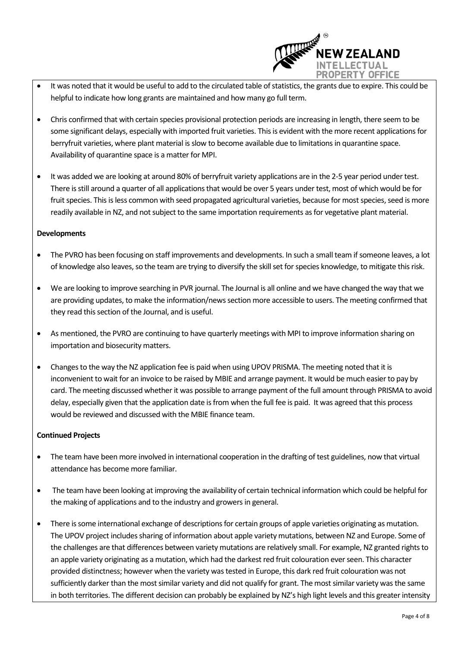

- It was noted that it would be useful to add to the circulated table of statistics, the grants due to expire. This could be helpful to indicate how long grants are maintained and how many go full term.
- Chris confirmed that with certain species provisional protection periods are increasing in length, there seem to be some significant delays, especially with imported fruit varieties. This is evident with the more recent applications for berryfruit varieties, where plant material is slow to become available due to limitations in quarantine space. Availability of quarantine space is a matter for MPI.
- It was added we are looking at around 80% of berryfruit variety applications are in the 2-5 year period under test. There is still around a quarter of all applications that would be over 5 years under test, most of which would be for fruit species. This is less common with seed propagated agricultural varieties, because for most species, seed is more readily available in NZ, and not subject to the same importation requirements as for vegetative plant material.

# **Developments**

- The PVRO has been focusing on staff improvements and developments. In such a small team if someone leaves, a lot of knowledge also leaves, so the team are trying to diversify the skill set for species knowledge, to mitigate this risk.
- We are looking to improve searching in PVR journal. The Journal is all online and we have changed the way that we are providing updates, to make the information/news section more accessible to users. The meeting confirmed that they read this section of the Journal, and is useful.
- As mentioned, the PVRO are continuing to have quarterly meetings with MPI to improve information sharing on importation and biosecurity matters.
- Changes to the way the NZ application fee is paid when using UPOV PRISMA. The meeting noted that it is inconvenient to wait for an invoice to be raised by MBIE and arrange payment. It would be much easier to pay by card. The meeting discussed whether it was possible to arrange payment of the full amount through PRISMA to avoid delay, especially given that the application date is from when the full fee is paid. It was agreed that this process would be reviewed and discussed with the MBIE finance team.

# **Continued Projects**

- The team have been more involved in international cooperation in the drafting of test guidelines, now that virtual attendance has become more familiar.
- The team have been looking at improving the availability of certain technical information which could be helpful for the making of applications and to the industry and growers in general.
- There is some international exchange of descriptions for certain groups of apple varieties originating as mutation. The UPOV project includes sharing of information about apple variety mutations, between NZ and Europe. Some of the challenges are that differences between variety mutations are relatively small. For example, NZ granted rights to an apple variety originating as a mutation, which had the darkest red fruit colouration ever seen. This character provided distinctness; however when the variety was tested in Europe, this dark red fruit colouration was not sufficiently darker than the most similar variety and did not qualify for grant. The most similar variety was the same in both territories. The different decision can probably be explained by NZ's high light levels and this greater intensity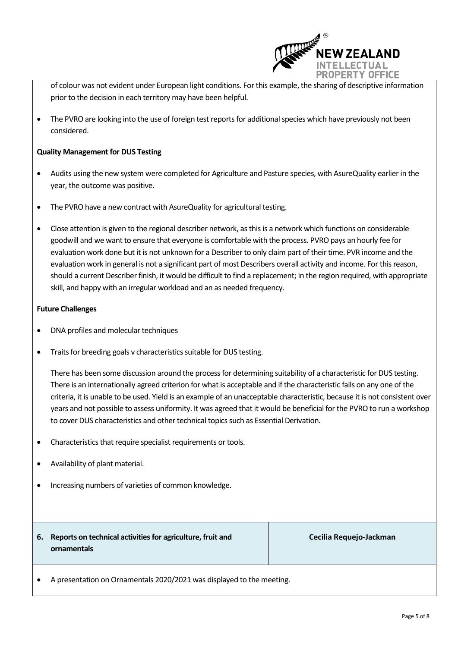

of colour was not evident under European light conditions. For this example, the sharing of descriptive information prior to the decision in each territory may have been helpful.

 The PVRO are looking into the use of foreign test reports for additional species which have previously not been considered.

#### **Quality Management for DUS Testing**

- Audits using the new system were completed for Agriculture and Pasture species, with AsureQuality earlier in the year, the outcome was positive.
- The PVRO have a new contract with AsureQuality for agricultural testing.
- Close attention is given to the regional describer network, as this is a network which functions on considerable goodwill and we want to ensure that everyone is comfortable with the process. PVRO pays an hourly fee for evaluation work done but it is not unknown for a Describer to only claim part of their time. PVR income and the evaluation work in general is not a significant part of most Describers overall activity and income. For this reason, should a current Describer finish, it would be difficult to find a replacement; in the region required, with appropriate skill, and happy with an irregular workload and an as needed frequency.

#### **Future Challenges**

- DNA profiles and molecular techniques
- Traits for breeding goals v characteristics suitable for DUS testing.

There has been some discussion around the process for determining suitability of a characteristic for DUS testing. There is an internationally agreed criterion for what is acceptable and if the characteristic fails on any one of the criteria, it is unable to be used. Yield is an example of an unacceptable characteristic, because it is not consistent over years and not possible to assess uniformity. It was agreed that it would be beneficial for the PVRO to run a workshop to cover DUS characteristics and other technical topics such as Essential Derivation.

- Characteristics that require specialist requirements or tools.
- Availability of plant material.
- Increasing numbers of varieties of common knowledge.
- **6. Reports on technical activities for agriculture, fruit and ornamentals**

**Cecilia Requejo-Jackman**

A presentation on Ornamentals 2020/2021 was displayed to the meeting.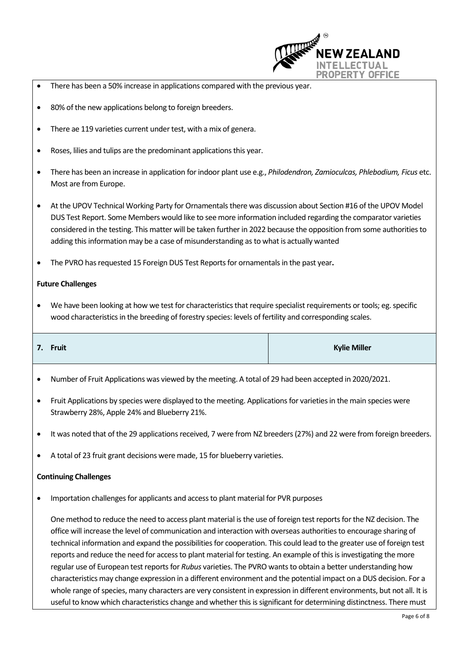

- There has been a 50% increase in applications compared with the previous year.
- 80% of the new applications belong to foreign breeders.
- There ae 119 varieties current under test, with a mix of genera.
- Roses, lilies and tulips are the predominant applications this year.
- There has been an increase in application forindoor plant use e.g., *Philodendron, Zamioculcas, Phlebodium, Ficus* etc. Most are from Europe.
- At the UPOV Technical Working Party for Ornamentals there was discussion about Section #16 of the UPOV Model DUS Test Report. Some Members would like to see more information included regarding the comparator varieties considered in the testing. This matter will be taken further in 2022 because the opposition from some authorities to adding this information may be a case of misunderstanding as to what is actually wanted
- The PVRO has requested 15 Foreign DUS Test Reports for ornamentals in the past year**.**

#### **Future Challenges**

 We have been looking at how we test for characteristics that require specialist requirements or tools; eg. specific wood characteristics in the breeding of forestry species: levels of fertility and corresponding scales.

| 7. Fruit | <b>Kylie Miller</b> |
|----------|---------------------|
|          |                     |

- Number of Fruit Applications was viewed by the meeting. A total of 29 had been accepted in 2020/2021.
- Fruit Applications by species were displayed to the meeting. Applications for varieties in the main species were Strawberry 28%, Apple 24% and Blueberry 21%.
- It was noted that of the 29 applications received, 7 were from NZ breeders (27%) and 22 were from foreign breeders.
- A total of 23 fruit grant decisions were made, 15 for blueberry varieties.

#### **Continuing Challenges**

Importation challenges for applicants and access to plant material for PVR purposes

One method to reduce the need to access plant material is the use of foreign test reports for the NZ decision. The office will increase the level of communication and interaction with overseas authorities to encourage sharing of technical information and expand the possibilities for cooperation. This could lead to the greater use of foreign test reports and reduce the need for access to plant material for testing. An example of this is investigating the more regular use of European test reports for *Rubus* varieties. The PVRO wantsto obtain a better understanding how characteristics may change expression in a different environment and the potential impact on a DUS decision. For a whole range of species, many characters are very consistent in expression in different environments, but not all. It is useful to know which characteristics change and whether this is significant for determining distinctness. There must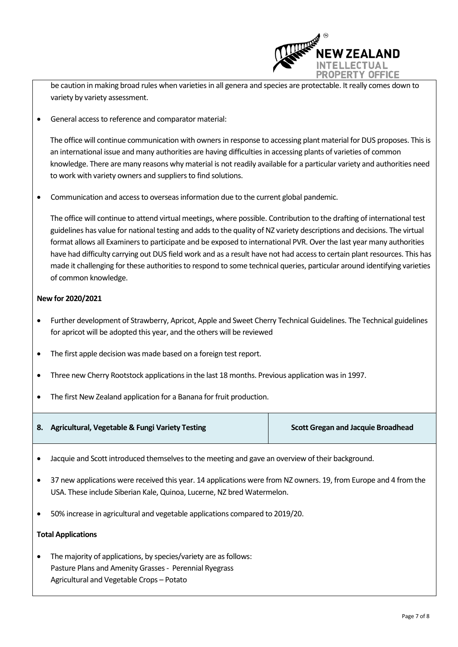

be caution in making broad rules when varieties in all genera and species are protectable. It really comes down to variety by variety assessment.

General access to reference and comparator material:

The office will continue communication with owners in response to accessing plant material for DUS proposes. This is an international issue and many authorities are having difficulties in accessing plants of varieties of common knowledge. There are many reasons why material is not readily available for a particular variety and authorities need to work with variety owners and suppliers to find solutions.

Communication and access to overseasinformation due to the current global pandemic.

The office will continue to attend virtual meetings, where possible. Contribution to the drafting of international test guidelines has value for national testing and adds to the quality of NZ variety descriptions and decisions. The virtual format allows all Examiners to participate and be exposed to international PVR. Over the last year many authorities have had difficulty carrying out DUS field work and as a result have not had access to certain plant resources. This has made it challenging for these authorities to respond to some technical queries, particular around identifying varieties of common knowledge.

# **New for 2020/2021**

- Further development of Strawberry, Apricot, Apple and Sweet Cherry Technical Guidelines. The Technical guidelines for apricot will be adopted this year, and the others will be reviewed
- The first apple decision was made based on a foreign test report.
- Three new Cherry Rootstock applications in the last 18 months. Previous application was in 1997.
- The first New Zealand application for a Banana for fruit production.

| 8. Agricultural, Vegetable & Fungi Variety Testing | <b>Scott Gregan and Jacquie Broadhead</b> |
|----------------------------------------------------|-------------------------------------------|
|                                                    |                                           |

- Jacquie and Scott introduced themselves to the meeting and gave an overview of their background.
- 37 new applications were received this year. 14 applications were from NZ owners. 19, from Europe and 4 from the USA. These include Siberian Kale, Quinoa, Lucerne, NZ bred Watermelon.
- 50% increase in agricultural and vegetable applications compared to 2019/20.

#### **Total Applications**

 The majority of applications, by species/variety are as follows: Pasture Plans and Amenity Grasses - Perennial Ryegrass Agricultural and Vegetable Crops – Potato